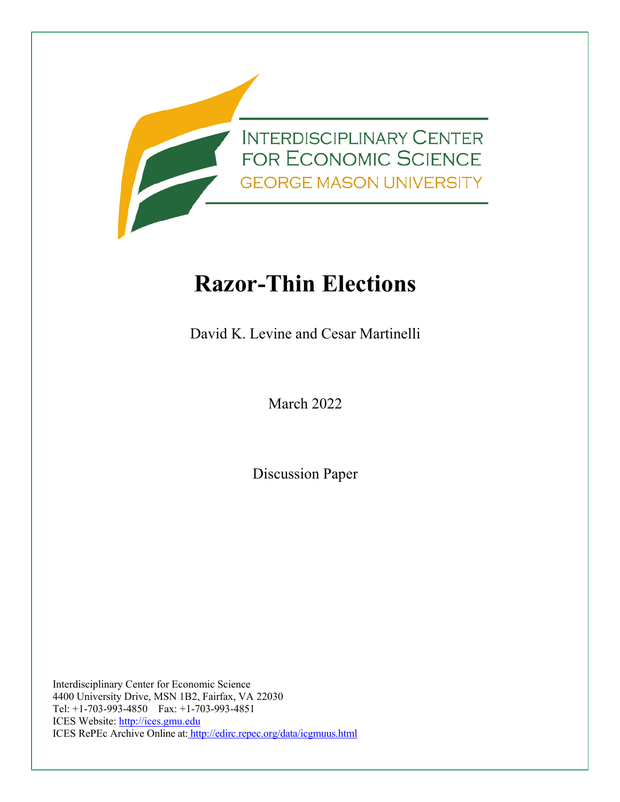

# **Razor-Thin Elections**

David K. Levine and Cesar Martinelli

March 2022

Discussion Paper

Interdisciplinary Center for Economic Science 4400 University Drive, MSN 1B2, Fairfax, VA 22030 Tel: +1-703-993-4850 Fax: +1-703-993-4851 ICES Website: [http://ices.gmu.edu](http://ices.gmu.edu/) ICES RePEc Archive Online at: http://edirc.repec.org/data/icgmuus.html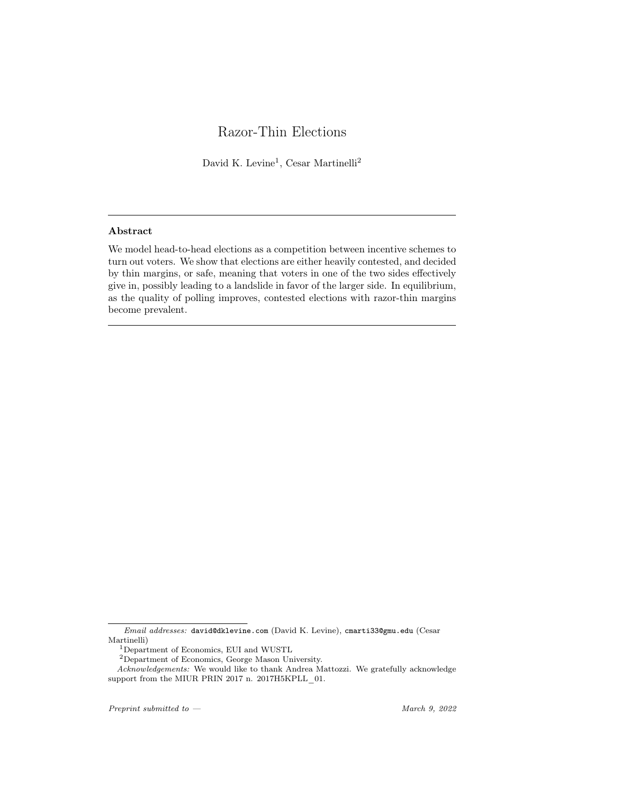# Razor-Thin Elections

David K. Levine<sup>1</sup>, Cesar Martinelli<sup>2</sup>

## Abstract

We model head-to-head elections as a competition between incentive schemes to turn out voters. We show that elections are either heavily contested, and decided by thin margins, or safe, meaning that voters in one of the two sides effectively give in, possibly leading to a landslide in favor of the larger side. In equilibrium, as the quality of polling improves, contested elections with razor-thin margins become prevalent.

*Preprint submitted to — March 9, 2022*

*Email addresses:* david@dklevine.com (David K. Levine), cmarti33@gmu.edu (Cesar Martinelli)

<sup>1</sup>Department of Economics, EUI and WUSTL

<sup>2</sup>Department of Economics, George Mason University.

*Acknowledgements:* We would like to thank Andrea Mattozzi. We gratefully acknowledge support from the MIUR PRIN 2017 n. 2017H5KPLL 01.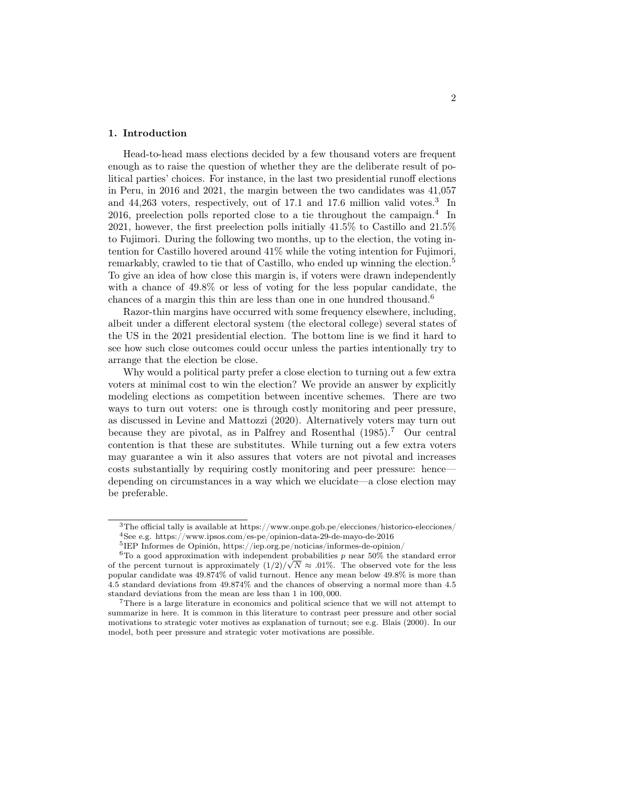#### 1. Introduction

Head-to-head mass elections decided by a few thousand voters are frequent enough as to raise the question of whether they are the deliberate result of political parties' choices. For instance, in the last two presidential runoff elections in Peru, in 2016 and 2021, the margin between the two candidates was 41,057 and 44,263 voters, respectively, out of 17.1 and 17.6 million valid votes.<sup>3</sup> In 2016, preelection polls reported close to a tie throughout the campaign.<sup>4</sup> In 2021, however, the first preelection polls initially 41.5% to Castillo and 21.5% to Fujimori. During the following two months, up to the election, the voting intention for Castillo hovered around 41% while the voting intention for Fujimori, remarkably, crawled to tie that of Castillo, who ended up winning the election.<sup>5</sup> To give an idea of how close this margin is, if voters were drawn independently with a chance of 49*.*8% or less of voting for the less popular candidate, the chances of a margin this thin are less than one in one hundred thousand.<sup>6</sup>

Razor-thin margins have occurred with some frequency elsewhere, including, albeit under a different electoral system (the electoral college) several states of the US in the 2021 presidential election. The bottom line is we find it hard to see how such close outcomes could occur unless the parties intentionally try to arrange that the election be close.

Why would a political party prefer a close election to turning out a few extra voters at minimal cost to win the election? We provide an answer by explicitly modeling elections as competition between incentive schemes. There are two ways to turn out voters: one is through costly monitoring and peer pressure, as discussed in Levine and Mattozzi (2020). Alternatively voters may turn out because they are pivotal, as in Palfrey and Rosenthal (1985).<sup>7</sup> Our central contention is that these are substitutes. While turning out a few extra voters may guarantee a win it also assures that voters are not pivotal and increases costs substantially by requiring costly monitoring and peer pressure: hence depending on circumstances in a way which we elucidate—a close election may be preferable.

<sup>3</sup>The official tally is available at https://www.onpe.gob.pe/elecciones/historico-elecciones/  $^4{\rm See}$ e.g. https://www.ipsos.com/es-pe/opinion-data-29-de-mayo-de-2016

 ${\rm ^5IEP}$  Informes de Opinión, https://iep.org.pe/noticias/informes-de-opinion/

<sup>6</sup>To a good approximation with independent probabilities *p* near 50% the standard error of the percent turnout is approximately  $(1/2)/\sqrt{N} \approx .01\%$ . The observed vote for the less popular candidate was 49.874% of valid turnout. Hence any mean below 49*.*8% is more than 4.5 standard deviations from 49*.*874% and the chances of observing a normal more than 4*.*5 standard deviations from the mean are less than 1 in 100*,* 000.

<sup>&</sup>lt;sup>7</sup>There is a large literature in economics and political science that we will not attempt to summarize in here. It is common in this literature to contrast peer pressure and other social motivations to strategic voter motives as explanation of turnout; see e.g. Blais (2000). In our model, both peer pressure and strategic voter motivations are possible.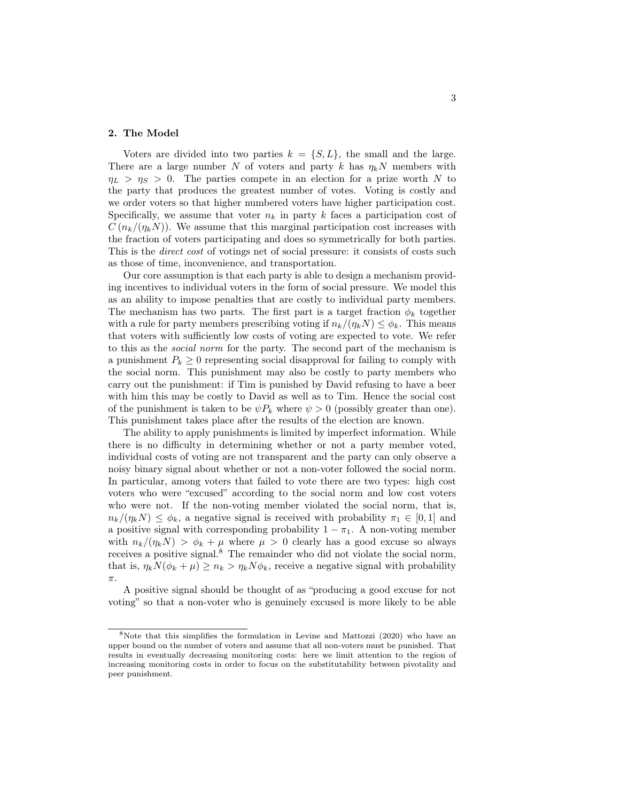#### 2. The Model

Voters are divided into two parties  $k = \{S, L\}$ , the small and the large. There are a large number *N* of voters and party *k* has  $\eta_k N$  members with  $\eta_L > \eta_S > 0$ . The parties compete in an election for a prize worth *N* to the party that produces the greatest number of votes. Voting is costly and we order voters so that higher numbered voters have higher participation cost. Specifically, we assume that voter  $n_k$  in party  $k$  faces a participation cost of  $C(n_k/(\eta_k N))$ . We assume that this marginal participation cost increases with the fraction of voters participating and does so symmetrically for both parties. This is the *direct cost* of votings net of social pressure: it consists of costs such as those of time, inconvenience, and transportation.

Our core assumption is that each party is able to design a mechanism providing incentives to individual voters in the form of social pressure. We model this as an ability to impose penalties that are costly to individual party members. The mechanism has two parts. The first part is a target fraction  $\phi_k$  together with a rule for party members prescribing voting if  $n_k/(n_k N) \leq \phi_k$ . This means that voters with sufficiently low costs of voting are expected to vote. We refer to this as the *social norm* for the party. The second part of the mechanism is a punishment  $P_k \geq 0$  representing social disapproval for failing to comply with the social norm. This punishment may also be costly to party members who carry out the punishment: if Tim is punished by David refusing to have a beer with him this may be costly to David as well as to Tim. Hence the social cost of the punishment is taken to be  $\psi P_k$  where  $\psi > 0$  (possibly greater than one). This punishment takes place after the results of the election are known.

The ability to apply punishments is limited by imperfect information. While there is no difficulty in determining whether or not a party member voted, individual costs of voting are not transparent and the party can only observe a noisy binary signal about whether or not a non-voter followed the social norm. In particular, among voters that failed to vote there are two types: high cost voters who were "excused" according to the social norm and low cost voters who were not. If the non-voting member violated the social norm, that is,  $n_k/(n_k N) \leq \phi_k$ , a negative signal is received with probability  $\pi_1 \in [0, 1]$  and a positive signal with corresponding probability  $1 - \pi_1$ . A non-voting member with  $n_k/(\eta_k N) > \phi_k + \mu$  where  $\mu > 0$  clearly has a good excuse so always receives a positive signal.<sup>8</sup> The remainder who did not violate the social norm, that is,  $\eta_k N(\phi_k + \mu) \geq n_k > \eta_k N \phi_k$ , receive a negative signal with probability  $\pi$ .

A positive signal should be thought of as "producing a good excuse for not voting" so that a non-voter who is genuinely excused is more likely to be able

<sup>8</sup>Note that this simplifies the formulation in Levine and Mattozzi (2020) who have an upper bound on the number of voters and assume that all non-voters must be punished. That results in eventually decreasing monitoring costs: here we limit attention to the region of increasing monitoring costs in order to focus on the substitutability between pivotality and peer punishment.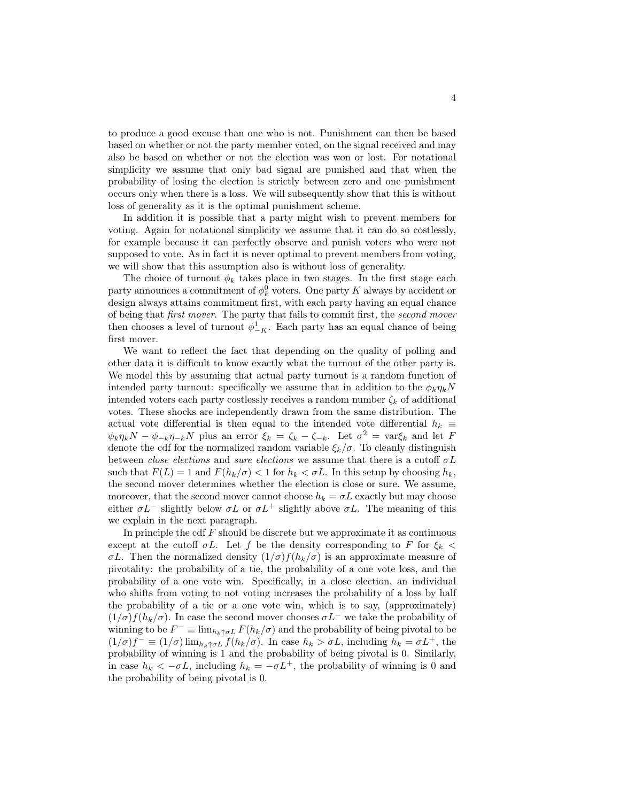to produce a good excuse than one who is not. Punishment can then be based based on whether or not the party member voted, on the signal received and may also be based on whether or not the election was won or lost. For notational simplicity we assume that only bad signal are punished and that when the probability of losing the election is strictly between zero and one punishment occurs only when there is a loss. We will subsequently show that this is without loss of generality as it is the optimal punishment scheme.

In addition it is possible that a party might wish to prevent members for voting. Again for notational simplicity we assume that it can do so costlessly, for example because it can perfectly observe and punish voters who were not supposed to vote. As in fact it is never optimal to prevent members from voting, we will show that this assumption also is without loss of generality.

The choice of turnout  $\phi_k$  takes place in two stages. In the first stage each party announces a commitment of  $\phi_k^0$  voters. One party *K* always by accident or design always attains commitment first, with each party having an equal chance of being that *first mover*. The party that fails to commit first, the *second mover* then chooses a level of turnout  $\phi_{-K}^1$ . Each party has an equal chance of being first mover.

We want to reflect the fact that depending on the quality of polling and other data it is difficult to know exactly what the turnout of the other party is. We model this by assuming that actual party turnout is a random function of intended party turnout: specifically we assume that in addition to the  $\phi_k \eta_k N$ intended voters each party costlessly receives a random number  $\zeta_k$  of additional votes. These shocks are independently drawn from the same distribution. The actual vote differential is then equal to the intended vote differential  $h_k \equiv$  $\phi_k \eta_k N - \phi_{-k} \eta_{-k} N$  plus an error  $\xi_k = \zeta_k - \zeta_{-k}$ . Let  $\sigma^2 = \text{var}\xi_k$  and let *F* denote the cdf for the normalized random variable  $\xi_k/\sigma$ . To cleanly distinguish between *close elections* and *sure elections* we assume that there is a cutoff  $\sigma L$ such that  $F(L) = 1$  and  $F(h_k/\sigma) < 1$  for  $h_k < \sigma L$ . In this setup by choosing  $h_k$ , the second mover determines whether the election is close or sure. We assume, moreover, that the second mover cannot choose  $h_k = \sigma L$  exactly but may choose either  $\sigma L^-$  slightly below  $\sigma L$  or  $\sigma L^+$  slightly above  $\sigma L$ . The meaning of this we explain in the next paragraph.

In principle the cdf *F* should be discrete but we approximate it as continuous except at the cutoff  $\sigma L$ . Let f be the density corresponding to F for  $\xi_k$  $\sigma L$ . Then the normalized density  $(1/\sigma) f(h_k/\sigma)$  is an approximate measure of pivotality: the probability of a tie, the probability of a one vote loss, and the probability of a one vote win. Specifically, in a close election, an individual who shifts from voting to not voting increases the probability of a loss by half the probability of a tie or a one vote win, which is to say, (approximately)  $(1/\sigma) f(h_k/\sigma)$ . In case the second mover chooses  $\sigma L^-$  we take the probability of winning to be  $F^- \equiv \lim_{h_k \uparrow \sigma} F(h_k/\sigma)$  and the probability of being pivotal to be  $(1/\sigma)f^{-} \equiv (1/\sigma)\lim_{h_k \uparrow \sigma} f(h_k/\sigma)$ . In case  $h_k > \sigma L$ , including  $h_k = \sigma L^{+}$ , the probability of winning is 1 and the probability of being pivotal is 0. Similarly, in case  $h_k < -\sigma L$ , including  $h_k = -\sigma L^+$ , the probability of winning is 0 and the probability of being pivotal is 0.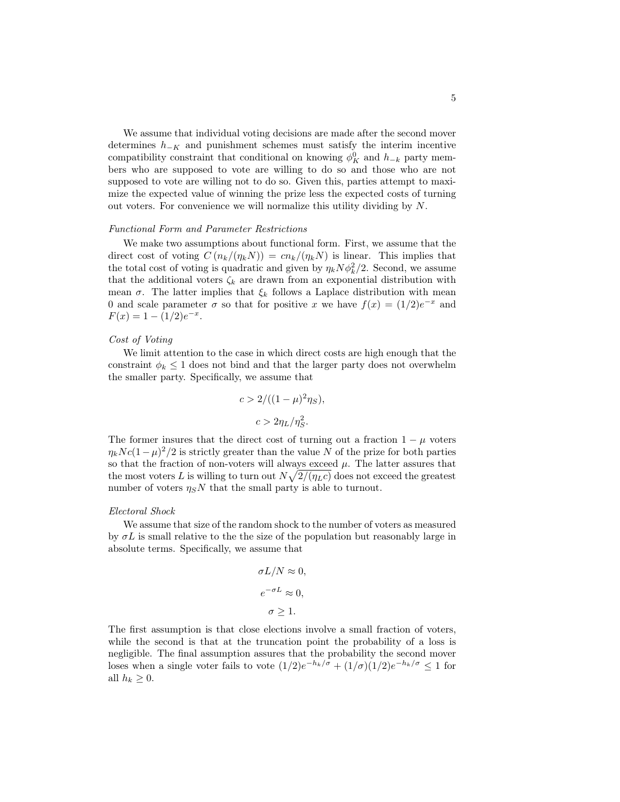We assume that individual voting decisions are made after the second mover determines  $h_{-K}$  and punishment schemes must satisfy the interim incentive compatibility constraint that conditional on knowing  $\phi_K^0$  and  $h_{-k}$  party members who are supposed to vote are willing to do so and those who are not supposed to vote are willing not to do so. Given this, parties attempt to maximize the expected value of winning the prize less the expected costs of turning out voters. For convenience we will normalize this utility dividing by *N*.

#### *Functional Form and Parameter Restrictions*

We make two assumptions about functional form. First, we assume that the direct cost of voting  $C(n_k/(n_kN)) = cn_k/(n_kN)$  is linear. This implies that the total cost of voting is quadratic and given by  $\eta_k N \phi_k^2/2$ . Second, we assume that the additional voters  $\zeta_k$  are drawn from an exponential distribution with mean  $\sigma$ . The latter implies that  $\xi_k$  follows a Laplace distribution with mean 0 and scale parameter  $\sigma$  so that for positive *x* we have  $f(x) = (1/2)e^{-x}$  and  $F(x) = 1 - (1/2)e^{-x}$ .

#### *Cost of Voting*

We limit attention to the case in which direct costs are high enough that the constraint  $\phi_k \leq 1$  does not bind and that the larger party does not overwhelm the smaller party. Specifically, we assume that

$$
c > 2/((1 - \mu)^2 \eta_S),
$$
  

$$
c > 2\eta_L/\eta_S^2.
$$

The former insures that the direct cost of turning out a fraction  $1 - \mu$  voters  $\eta_k N c (1 - \mu)^2 / 2$  is strictly greater than the value *N* of the prize for both parties so that the fraction of non-voters will always exceed  $\mu$ . The latter assures that the most voters *L* is willing to turn out  $N\sqrt{2/(\eta_L c)}$  does not exceed the greatest number of voters  $\eta_S N$  that the small party is able to turnout.

#### *Electoral Shock*

We assume that size of the random shock to the number of voters as measured by  $\sigma L$  is small relative to the the size of the population but reasonably large in absolute terms. Specifically, we assume that

$$
\sigma L/N \approx 0,
$$
  
\n
$$
e^{-\sigma L} \approx 0,
$$
  
\n
$$
\sigma \ge 1.
$$

The first assumption is that close elections involve a small fraction of voters, while the second is that at the truncation point the probability of a loss is negligible. The final assumption assures that the probability the second mover loses when a single voter fails to vote  $(1/2)e^{-h_k/\sigma} + (1/\sigma)(1/2)e^{-h_k/\sigma} \leq 1$  for all  $h_k \geq 0$ .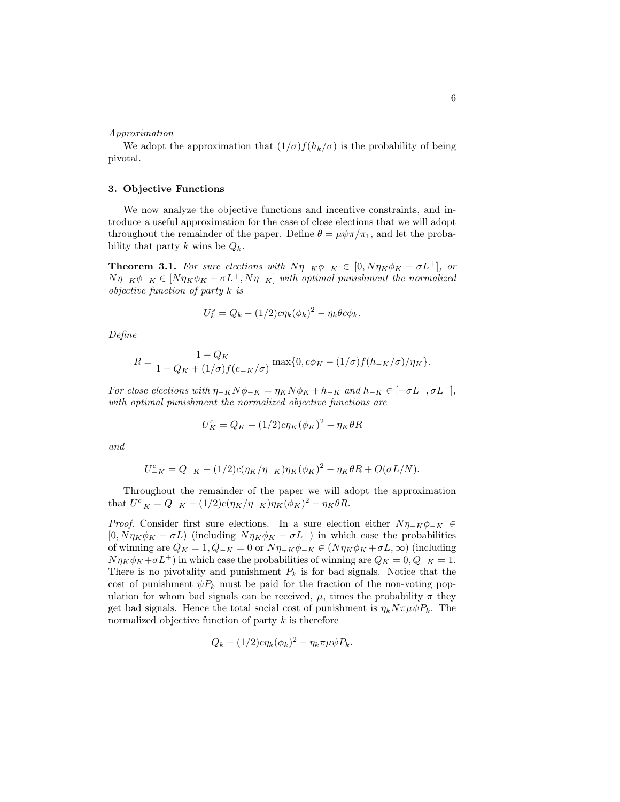#### *Approximation*

We adopt the approximation that  $(1/\sigma) f(h_k/\sigma)$  is the probability of being pivotal.

#### 3. Objective Functions

We now analyze the objective functions and incentive constraints, and introduce a useful approximation for the case of close elections that we will adopt throughout the remainder of the paper. Define  $\theta = \mu \psi \pi / \pi_1$ , and let the probability that party *k* wins be  $Q_k$ .

**Theorem 3.1.** For sure elections with  $N\eta_{-K}\phi_{-K} \in [0, N\eta_K\phi_K - \sigma L^+]$ , or  $N\eta_{-K}\phi_{-K} \in [N\eta_K\phi_K + \sigma L^+, N\eta_{-K}]$  *with optimal punishment the normalized objective function of party k is*

$$
U_k^s = Q_k - (1/2)c\eta_k(\phi_k)^2 - \eta_k\theta c\phi_k.
$$

*Define*

$$
R = \frac{1 - Q_K}{1 - Q_K + (1/\sigma)f(e_{-K}/\sigma)} \max\{0, c\phi_K - (1/\sigma)f(h_{-K}/\sigma)/\eta_K\}.
$$

*For close elections with*  $\eta_{-K}N\phi_{-K} = \eta_KN\phi_K + h_{-K}$  and  $h_{-K} \in [-\sigma L^-,\sigma L^-]$ , *with optimal punishment the normalized objective functions are*

$$
U_K^c = Q_K - (1/2)c\eta_K(\phi_K)^2 - \eta_K\theta R
$$

*and*

$$
U_{-K}^{c} = Q_{-K} - (1/2)c(\eta_K/\eta_{-K})\eta_K(\phi_K)^2 - \eta_K\theta_R + O(\sigma L/N).
$$

Throughout the remainder of the paper we will adopt the approximation that  $U_{-K}^{c} = Q_{-K} - (1/2)c(\eta_K/\eta_{-K})\eta_K(\phi_K)^2 - \eta_K\theta R$ .

*Proof.* Consider first sure elections. In a sure election either  $N\eta_{-K}\phi_{-K} \in$  $[0, N\eta_K\phi_K - \sigma L]$  (including  $N\eta_K\phi_K - \sigma L^+$ ) in which case the probabilities of winning are  $Q_K = 1, Q_{-K} = 0$  or  $N\eta_{-K}\phi_{-K} \in (N\eta_K\phi_K + \sigma L, \infty)$  (including  $N\eta_K\phi_K+\sigma L^+$  in which case the probabilities of winning are  $Q_K=0, Q_K=1$ . There is no pivotality and punishment  $P_k$  is for bad signals. Notice that the cost of punishment  $\psi P_k$  must be paid for the fraction of the non-voting population for whom bad signals can be received,  $\mu$ , times the probability  $\pi$  they get bad signals. Hence the total social cost of punishment is  $\eta_k N \pi \mu \psi P_k$ . The normalized objective function of party *k* is therefore

$$
Q_k - (1/2)c\eta_k(\phi_k)^2 - \eta_k \pi \mu \psi P_k.
$$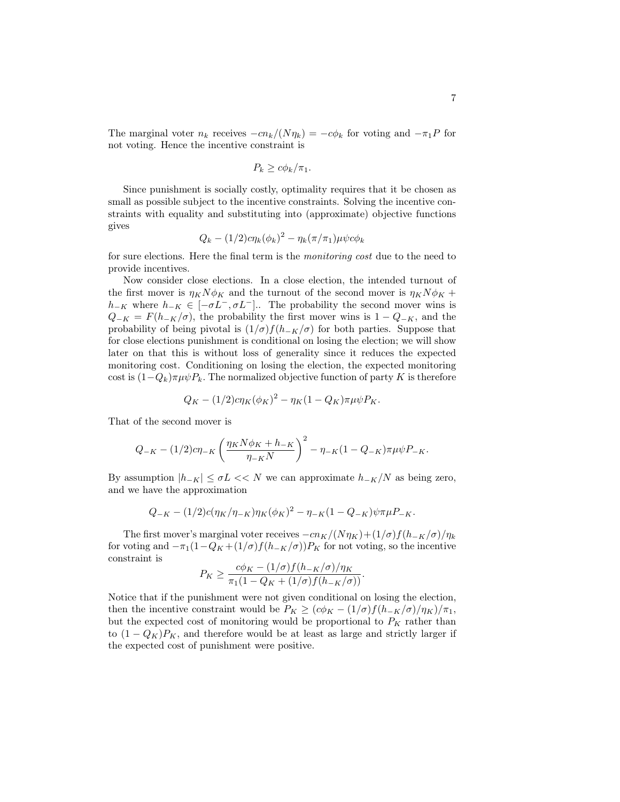The marginal voter  $n_k$  receives  $-cn_k/(N\eta_k) = -c\phi_k$  for voting and  $-\pi_1 P$  for not voting. Hence the incentive constraint is

$$
P_k \geq c\phi_k/\pi_1.
$$

Since punishment is socially costly, optimality requires that it be chosen as small as possible subject to the incentive constraints. Solving the incentive constraints with equality and substituting into (approximate) objective functions gives

$$
Q_k - (1/2)c\eta_k(\phi_k)^2 - \eta_k(\pi/\pi_1)\mu\psi c\phi_k
$$

for sure elections. Here the final term is the *monitoring cost* due to the need to provide incentives.

Now consider close elections. In a close election, the intended turnout of the first mover is  $\eta_K N \phi_K$  and the turnout of the second mover is  $\eta_K N \phi_K +$  $h_{-K}$  where  $h_{-K} \in [-\sigma L^{-}, \sigma L^{-}]$ .. The probability the second mover wins is  $Q_{-K} = F(h_{-K}/\sigma)$ , the probability the first mover wins is  $1 - Q_{-K}$ , and the probability of being pivotal is  $(1/\sigma) f(h_{-K}/\sigma)$  for both parties. Suppose that for close elections punishment is conditional on losing the election; we will show later on that this is without loss of generality since it reduces the expected monitoring cost. Conditioning on losing the election, the expected monitoring cost is  $(1-Q_k)\pi\mu\psi P_k$ . The normalized objective function of party *K* is therefore

$$
Q_K - (1/2)c\eta_K(\phi_K)^2 - \eta_K(1 - Q_K)\pi\mu\psi P_K.
$$

That of the second mover is

$$
Q_{-K} - (1/2)c\eta_{-K} \left(\frac{\eta_K N \phi_K + h_{-K}}{\eta_{-K} N}\right)^2 - \eta_{-K} (1 - Q_{-K})\pi \mu \psi P_{-K}.
$$

By assumption  $|h_{-K}| \leq \sigma L \ll N$  we can approximate  $h_{-K}/N$  as being zero, and we have the approximation

$$
Q_{-K} - (1/2)c(\eta_K/\eta_{-K})\eta_K(\phi_K)^2 - \eta_{-K}(1 - Q_{-K})\psi\pi\mu P_{-K}.
$$

The first mover's marginal voter receives  $-cn_K/(N\eta_K)+(1/\sigma)f(h_{-K}/\sigma)/\eta_k$ for voting and  $-\pi_1(1-Q_K+(1/\sigma)f(h_{-K}/\sigma))P_K$  for not voting, so the incentive constraint is

$$
P_K \geq \frac{c\phi_K - (1/\sigma)f(h_{-K}/\sigma)/\eta_K}{\pi_1(1 - Q_K + (1/\sigma)f(h_{-K}/\sigma))}.
$$

Notice that if the punishment were not given conditional on losing the election, then the incentive constraint would be  $P_K \geq (c\phi_K - (1/\sigma)f(h_{-K}/\sigma)/\eta_K)/\pi_1$ , but the expected cost of monitoring would be proportional to  $P_K$  rather than to  $(1 - Q_K)P_K$ , and therefore would be at least as large and strictly larger if the expected cost of punishment were positive.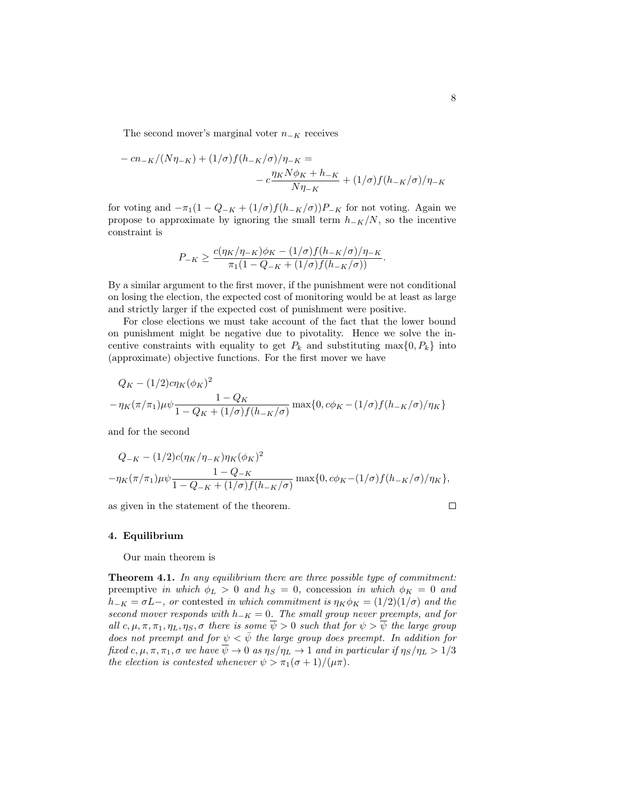The second mover's marginal voter  $n_{-K}$  receives

$$
- cn_{-K}/(N\eta_{-K}) + (1/\sigma)f(h_{-K}/\sigma)/\eta_{-K} =
$$
  

$$
- c\frac{\eta_{K}N\phi_{K} + h_{-K}}{N\eta_{-K}} + (1/\sigma)f(h_{-K}/\sigma)/\eta_{-K}
$$

for voting and  $-\pi_1(1 - Q_{-K} + (1/\sigma)f(h_{-K}/\sigma))P_{-K}$  for not voting. Again we propose to approximate by ignoring the small term  $h_{-K}/N$ , so the incentive constraint is

$$
P_{-K} \ge \frac{c(\eta_K/\eta_{-K})\phi_K - (1/\sigma)f(h_{-K}/\sigma)/\eta_{-K}}{\pi_1(1 - Q_{-K} + (1/\sigma)f(h_{-K}/\sigma))}.
$$

By a similar argument to the first mover, if the punishment were not conditional on losing the election, the expected cost of monitoring would be at least as large and strictly larger if the expected cost of punishment were positive.

For close elections we must take account of the fact that the lower bound on punishment might be negative due to pivotality. Hence we solve the incentive constraints with equality to get  $P_k$  and substituting max $\{0, P_k\}$  into (approximate) objective functions. For the first mover we have

$$
Q_K - (1/2)c\eta_K(\phi_K)^2 - \eta_K(\pi/\pi_1)\mu\psi \frac{1 - Q_K}{1 - Q_K + (1/\sigma)f(h_{-K}/\sigma)} \max\{0, c\phi_K - (1/\sigma)f(h_{-K}/\sigma)/\eta_K\}
$$

and for the second

$$
Q_{-K} - (1/2)c(\eta_K/\eta_{-K})\eta_K(\phi_K)^2
$$
  

$$
-\eta_K(\pi/\pi_1)\mu\psi \frac{1 - Q_{-K}}{1 - Q_{-K} + (1/\sigma)f(h_{-K}/\sigma)} \max\{0, c\phi_K - (1/\sigma)f(h_{-K}/\sigma)/\eta_K\},\
$$

as given in the statement of the theorem.

#### 4. Equilibrium

Our main theorem is

Theorem 4.1. *In any equilibrium there are three possible type of commitment:* preemptive *in which*  $\phi_L > 0$  *and*  $h_S = 0$ , concession *in which*  $\phi_K = 0$  *and*  $h_{-K} = \sigma L$ , or contested *in which commitment is*  $\eta_K \phi_K = (1/2)(1/\sigma)$  *and the second mover responds with*  $h_{-K} = 0$ . The small group never preempts, and for *all*  $c, \mu, \pi, \pi_1, \eta_L, \eta_S, \sigma$  there is some  $\psi > 0$  such that for  $\psi > \psi$  the large group *does not preempt and for*  $\psi < \bar{\psi}$  *the large group does preempt. In addition for fixed*  $c, \mu, \pi, \pi_1, \sigma$  we have  $\overline{\psi} \to 0$  as  $\eta_S/\eta_L \to 1$  and in particular if  $\eta_S/\eta_L > 1/3$ *the election is contested whenever*  $\psi > \pi_1(\sigma + 1)/(\mu \pi)$ *.* 

 $\Box$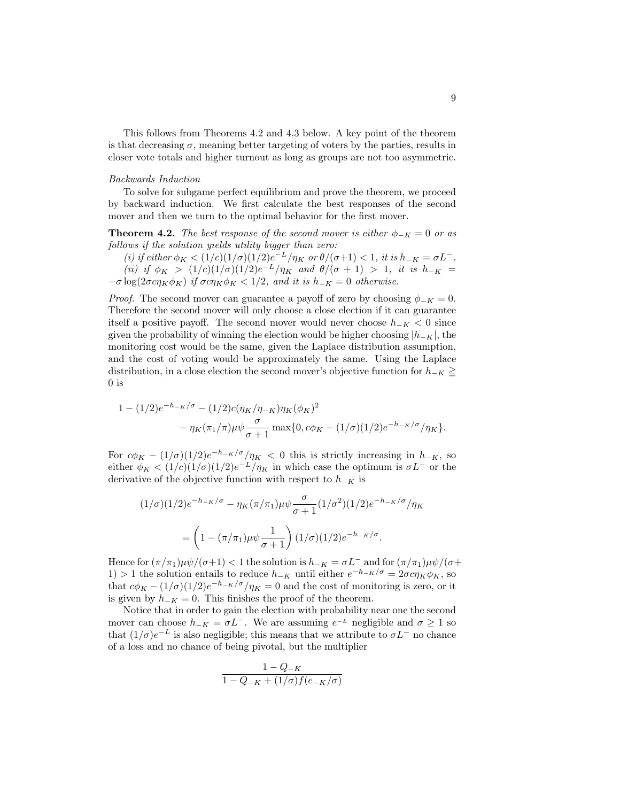This follows from Theorems 4.2 and 4.3 below. A key point of the theorem is that decreasing  $\sigma$ , meaning better targeting of voters by the parties, results in closer vote totals and higher turnout as long as groups are not too asymmetric.

## *Backwards Induction*

To solve for subgame perfect equilibrium and prove the theorem, we proceed by backward induction. We first calculate the best responses of the second mover and then we turn to the optimal behavior for the first mover.

**Theorem 4.2.** The best response of the second mover is either  $\phi_{-K} = 0$  or as *follows if the solution yields utility bigger than zero:*

*(i) if either*  $\phi_K < (1/c)(1/\sigma)(1/2)e^{-L}/\eta_K$  *or*  $\theta/(\sigma+1) < 1$ *, it is*  $h_{-K} = \sigma L^{-}$ *. (ii) if*  $\phi_K$  >  $(1/c)(1/\sigma)(1/2)e^{-L}/\eta_K$  and  $\theta/(\sigma + 1)$  > 1, *it is*  $h_{-K}$  =  $-\sigma \log(2\sigma c \eta_K \phi_K)$  *if*  $\sigma c \eta_K \phi_K < 1/2$ , and *it is*  $h_{-K} = 0$  *otherwise.* 

*Proof.* The second mover can guarantee a payoff of zero by choosing  $\phi_{-K} = 0$ . Therefore the second mover will only choose a close election if it can guarantee itself a positive payoff. The second mover would never choose  $h_{-K} < 0$  since given the probability of winning the election would be higher choosing  $|h_K|$ , the monitoring cost would be the same, given the Laplace distribution assumption, and the cost of voting would be approximately the same. Using the Laplace distribution, in a close election the second mover's objective function for  $h_{-K} \geq$  $0$  is

$$
1 - (1/2)e^{-h_{-K}/\sigma} - (1/2)c(\eta_K/\eta_{-K})\eta_K(\phi_K)^2 - \eta_K(\pi_1/\pi)\mu\psi \frac{\sigma}{\sigma+1} \max\{0, c\phi_K - (1/\sigma)(1/2)e^{-h_{-K}/\sigma}/\eta_K\}.
$$

For  $c\phi_K - (1/\sigma)(1/2)e^{-h_K/\sigma}/\eta_K < 0$  this is strictly increasing in  $h_{-K}$ , so either  $\phi_K < (1/c)(1/\sigma)(1/2)e^{-L}/\eta_K$  in which case the optimum is  $\sigma L^-$  or the derivative of the objective function with respect to  $h_{-K}$  is

$$
(1/\sigma)(1/2)e^{-h_{-K}/\sigma} - \eta_K(\pi/\pi_1)\mu\psi \frac{\sigma}{\sigma+1}(1/\sigma^2)(1/2)e^{-h_{-K}/\sigma}/\eta_K
$$

$$
= \left(1 - (\pi/\pi_1)\mu\psi \frac{1}{\sigma+1}\right)(1/\sigma)(1/2)e^{-h_{-K}/\sigma}.
$$

Hence for  $(\pi/\pi_1)\mu\psi/(\sigma+1) < 1$  the solution is  $h_{-K} = \sigma L^-$  and for  $(\pi/\pi_1)\mu\psi/(\sigma+1)$ 1) > 1 the solution entails to reduce  $h_{-K}$  until either  $e^{-h_{-K}/\sigma} = 2\sigma c \eta_K \phi_K$ , so that  $c\phi_K - (1/\sigma)(1/2)e^{-h_K/\sigma}/\eta_K = 0$  and the cost of monitoring is zero, or it is given by  $h_{-K} = 0$ . This finishes the proof of the theorem.

Notice that in order to gain the election with probability near one the second mover can choose  $h_{-K} = \sigma L^{-}$ . We are assuming  $e^{-L}$  negligible and  $\sigma \geq 1$  so that  $(1/\sigma)e^{-L}$  is also negligible; this means that we attribute to  $\sigma L^{-}$  no chance of a loss and no chance of being pivotal, but the multiplier

$$
\frac{1-Q_{-K}}{1-Q_{-K}+(1/\sigma)f(e_{-K}/\sigma)}
$$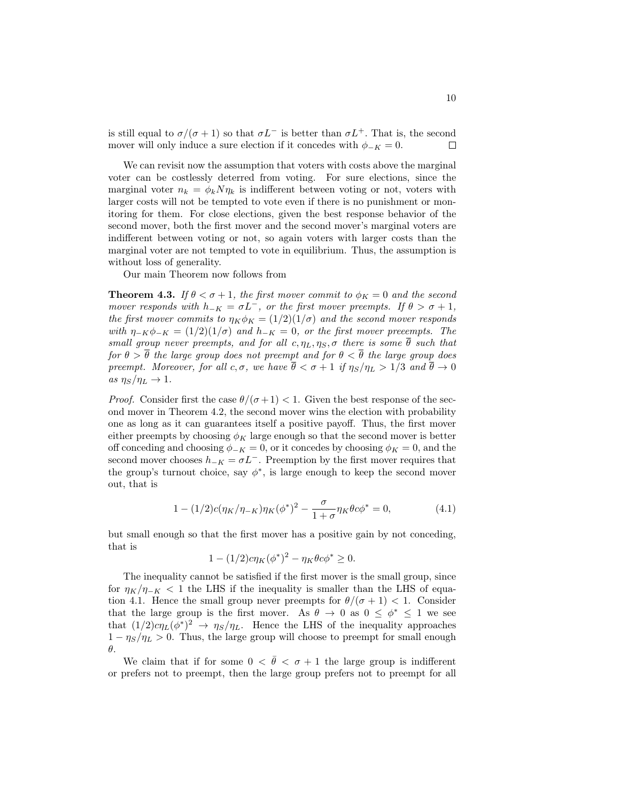is still equal to  $\sigma/(\sigma+1)$  so that  $\sigma L^-$  is better than  $\sigma L^+$ . That is, the second mover will only induce a sure election if it concedes with  $\phi_{-K} = 0$ .  $\Box$ 

We can revisit now the assumption that voters with costs above the marginal voter can be costlessly deterred from voting. For sure elections, since the marginal voter  $n_k = \phi_k N \eta_k$  is indifferent between voting or not, voters with larger costs will not be tempted to vote even if there is no punishment or monitoring for them. For close elections, given the best response behavior of the second mover, both the first mover and the second mover's marginal voters are indifferent between voting or not, so again voters with larger costs than the marginal voter are not tempted to vote in equilibrium. Thus, the assumption is without loss of generality.

Our main Theorem now follows from

**Theorem 4.3.** *If*  $\theta < \sigma + 1$ *, the first mover commit to*  $\phi_K = 0$  *and the second mover responds with*  $h_{-K} = \sigma L^{-}$ , or the first mover preempts. If  $\theta > \sigma + 1$ , *the first mover commits to*  $\eta_K \phi_K = (1/2)(1/\sigma)$  *and the second mover responds with*  $\eta_{-K}\phi_{-K} = (1/2)(1/\sigma)$  *and*  $h_{-K} = 0$ *, or the first mover preeempts. The small group never preempts, and for all*  $c, \eta_L, \eta_S, \sigma$  there is some  $\overline{\theta}$  such that *for*  $\theta > \overline{\theta}$  *the large group does not preempt and for*  $\theta < \overline{\theta}$  *the large group does preempt. Moreover, for all*  $c, \sigma$ *, we have*  $\bar{\theta} < \sigma + 1$  *if*  $\eta_S/\eta_L > 1/3$  *and*  $\bar{\theta} \to 0$  $as \eta_S/\eta_L \rightarrow 1$ .

*Proof.* Consider first the case  $\theta/(\sigma+1) < 1$ . Given the best response of the second mover in Theorem 4.2, the second mover wins the election with probability one as long as it can guarantees itself a positive payoff. Thus, the first mover either preempts by choosing  $\phi_K$  large enough so that the second mover is better off conceding and choosing  $\phi_{-K} = 0$ , or it concedes by choosing  $\phi_K = 0$ , and the second mover chooses  $h_{-K} = \sigma L^{-}$ . Preemption by the first mover requires that the group's turnout choice, say  $\phi^*$ , is large enough to keep the second mover out, that is

$$
1 - (1/2)c(\eta_K/\eta_{-K})\eta_K(\phi^*)^2 - \frac{\sigma}{1+\sigma}\eta_K\theta c\phi^* = 0,
$$
\n(4.1)

but small enough so that the first mover has a positive gain by not conceding, that is

$$
1 - (1/2)c\eta_K(\phi^*)^2 - \eta_K\theta c\phi^* \ge 0.
$$

The inequality cannot be satisfied if the first mover is the small group, since for  $\eta_K/\eta_{-K}$  < 1 the LHS if the inequality is smaller than the LHS of equation 4.1. Hence the small group never preempts for  $\theta/(\sigma+1) < 1$ . Consider that the large group is the first mover. As  $\theta \to 0$  as  $0 \leq \phi^* \leq 1$  we see that  $(1/2)c\eta_L(\phi^*)^2 \to \eta_S/\eta_L$ . Hence the LHS of the inequality approaches  $1 - \eta_s/\eta_L > 0$ . Thus, the large group will choose to preempt for small enough  $\theta$ .

We claim that if for some  $0 < \bar{\theta} < \sigma + 1$  the large group is indifferent or prefers not to preempt, then the large group prefers not to preempt for all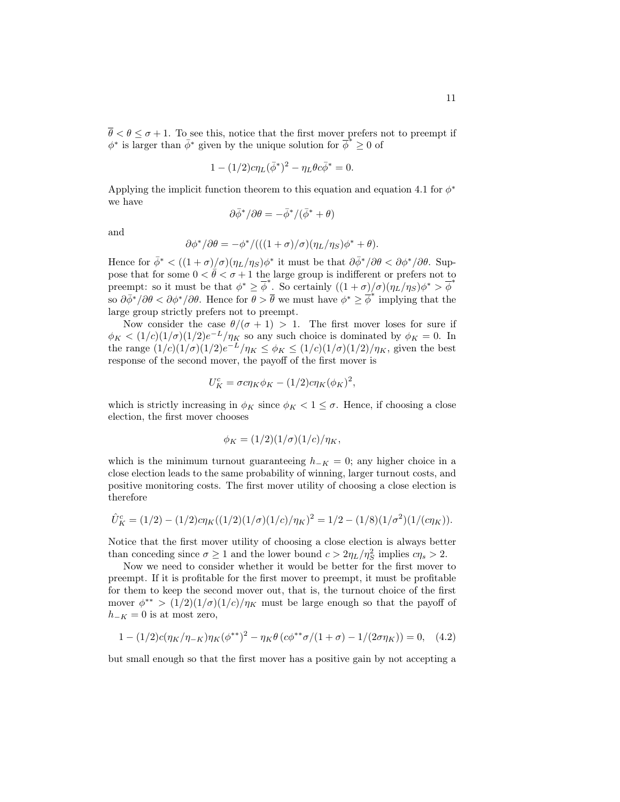$\bar{\theta} < \theta \leq \sigma + 1$ . To see this, notice that the first mover prefers not to preempt if  $\phi^*$  is larger than  $\bar{\phi}^*$  given by the unique solution for  $\bar{\phi}^* \geq 0$  of

$$
1 - (1/2)c\eta_L(\bar{\phi}^*)^2 - \eta_L\theta c\bar{\phi}^* = 0.
$$

Applying the implicit function theorem to this equation and equation 4.1 for  $\phi^*$ we have

$$
\partial \bar{\phi}^*/\partial \theta = -\bar{\phi}^*/(\bar{\phi}^* + \theta)
$$

and

$$
\partial \phi^* / \partial \theta = -\phi^* / (((1+\sigma)/\sigma)(\eta_L / \eta_S) \phi^* + \theta).
$$

Hence for  $\bar{\phi}^* < ((1 + \sigma)/\sigma)(\eta_L/\eta_S)\phi^*$  it must be that  $\partial \bar{\phi}^*/\partial \theta < \partial \phi^*/\partial \theta$ . Suppose that for some  $0 < \bar{\theta} < \sigma + 1$  the large group is indifferent or prefers not to preempt: so it must be that  $\phi^* \geq \overline{\phi}^*$ . So certainly  $((1 + \sigma)/\sigma)(\eta_L/\eta_S)\phi^* > \overline{\phi}^*$ so  $\partial \bar{\phi}^*/\partial \theta < \partial \phi^*/\partial \theta$ . Hence for  $\theta > \bar{\theta}$  we must have  $\phi^* \geq \bar{\phi}^*$  implying that the large group strictly prefers not to preempt.

Now consider the case  $\theta/(\sigma + 1) > 1$ . The first mover loses for sure if  $\phi_K < (1/c)(1/\sigma)(1/2)e^{-L}/\eta_K$  so any such choice is dominated by  $\phi_K = 0$ . In the range  $(1/c)(1/\sigma)(1/2)e^{-L}/\eta_K \le \phi_K \le (1/c)(1/\sigma)(1/2)/\eta_K$ , given the best response of the second mover, the payoff of the first mover is

$$
U_K^c = \sigma c \eta_K \phi_K - (1/2) c \eta_K (\phi_K)^2,
$$

which is strictly increasing in  $\phi_K$  since  $\phi_K < 1 \leq \sigma$ . Hence, if choosing a close election, the first mover chooses

$$
\phi_K = (1/2)(1/\sigma)(1/c)/\eta_K,
$$

which is the minimum turnout guaranteeing  $h_{-K} = 0$ ; any higher choice in a close election leads to the same probability of winning, larger turnout costs, and positive monitoring costs. The first mover utility of choosing a close election is therefore

$$
\hat{U}^c_K = (1/2) - (1/2)c\eta_K((1/2)(1/\sigma)(1/c)/\eta_K)^2 = 1/2 - (1/8)(1/\sigma^2)(1/(c\eta_K)).
$$

Notice that the first mover utility of choosing a close election is always better than conceding since  $\sigma \ge 1$  and the lower bound  $c > 2\eta_L/\eta_S^2$  implies  $c\eta_s > 2$ .

Now we need to consider whether it would be better for the first mover to preempt. If it is profitable for the first mover to preempt, it must be profitable for them to keep the second mover out, that is, the turnout choice of the first mover  $\phi^{**}$  >  $(1/2)(1/\sigma)(1/c)/\eta_K$  must be large enough so that the payoff of  $h_{-K} = 0$  is at most zero,

$$
1 - (1/2)c(\eta_K/\eta_{-K})\eta_K(\phi^{**})^2 - \eta_K\theta\left(c\phi^{**}\sigma/(1+\sigma) - 1/(2\sigma\eta_K)\right) = 0, \quad (4.2)
$$

but small enough so that the first mover has a positive gain by not accepting a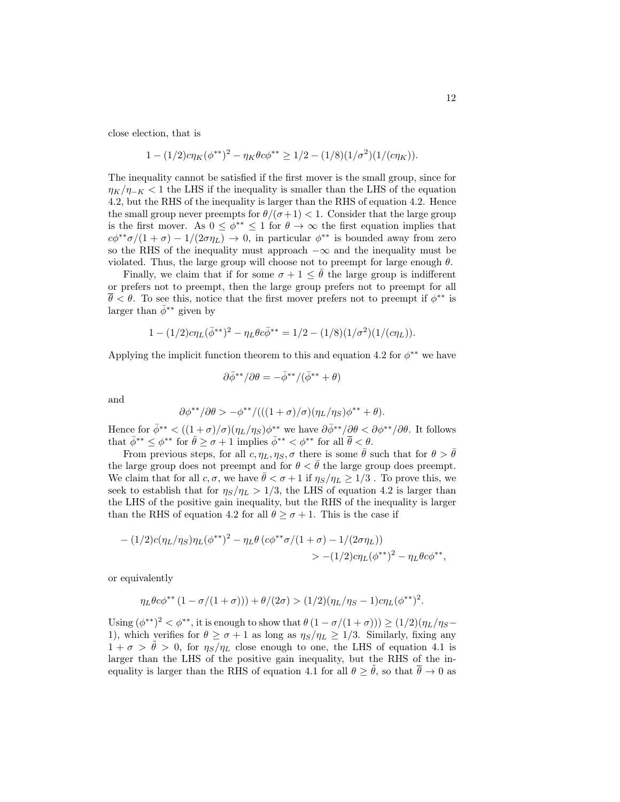close election, that is

$$
1 - (1/2)c\eta_K(\phi^{**})^2 - \eta_K\theta c\phi^{**} \ge 1/2 - (1/8)(1/\sigma^2)(1/(c\eta_K)).
$$

The inequality cannot be satisfied if the first mover is the small group, since for  $\eta_K/\eta_{-K}$  < 1 the LHS if the inequality is smaller than the LHS of the equation 4.2, but the RHS of the inequality is larger than the RHS of equation 4.2. Hence the small group never preempts for  $\theta/(\sigma+1) < 1$ . Consider that the large group is the first mover. As  $0 \leq \phi^{**} \leq 1$  for  $\theta \to \infty$  the first equation implies that  $c\phi^{**}\sigma/(1 + \sigma) - 1/(2\sigma\eta_L) \rightarrow 0$ , in particular  $\phi^{**}$  is bounded away from zero so the RHS of the inequality must approach  $-\infty$  and the inequality must be violated. Thus, the large group will choose not to preempt for large enough  $\theta$ .

Finally, we claim that if for some  $\sigma + 1 \leq \theta$  the large group is indifferent or prefers not to preempt, then the large group prefers not to preempt for all  $\theta < \theta$ . To see this, notice that the first mover prefers not to preempt if  $\phi^{**}$  is larger than  $\bar{\phi}^*$  given by

$$
1 - (1/2)c\eta_L(\bar{\phi}^{**})^2 - \eta_L\theta c\bar{\phi}^{**} = 1/2 - (1/8)(1/\sigma^2)(1/(c\eta_L)).
$$

Applying the implicit function theorem to this and equation 4.2 for  $\phi^{**}$  we have

$$
\partial \bar{\phi}^{**}/\partial \theta = -\bar{\phi}^{**}/(\bar{\phi}^{**} + \theta)
$$

and

$$
\partial \phi^{**}/\partial \theta > -\phi^{**}/(((1+\sigma)/\sigma)(\eta_L/\eta_S)\phi^{**}+\theta).
$$

Hence for  $\bar{\phi}^*$  <  $((1+\sigma)/\sigma)(\eta_L/\eta_S)\phi^{**}$  we have  $\partial \bar{\phi}^{**}/\partial \theta < \partial \phi^{**}/\partial \theta$ . It follows that  $\bar{\phi}^{**} \leq \phi^{**}$  for  $\bar{\theta} \geq \sigma + 1$  implies  $\bar{\phi}^{**} \leq \phi^{**}$  for all  $\bar{\theta} \leq \theta$ .

From previous steps, for all  $c, \eta_L, \eta_S, \sigma$  there is some  $\bar{\theta}$  such that for  $\theta > \bar{\theta}$ the large group does not preempt and for  $\theta < \bar{\theta}$  the large group does preempt. We claim that for all  $c, \sigma$ , we have  $\bar{\theta} < \sigma + 1$  if  $\eta_S / \eta_L \geq 1/3$ . To prove this, we seek to establish that for  $\eta_S/\eta_L > 1/3$ , the LHS of equation 4.2 is larger than the LHS of the positive gain inequality, but the RHS of the inequality is larger than the RHS of equation 4.2 for all  $\theta \geq \sigma + 1$ . This is the case if

$$
- (1/2)c(\eta_L/\eta_S)\eta_L(\phi^{**})^2 - \eta_L\theta (c\phi^{**}\sigma/(1+\sigma) - 1/(2\sigma\eta_L))
$$
  
> 
$$
- (1/2)c\eta_L(\phi^{**})^2 - \eta_L\theta c\phi^{**},
$$

or equivalently

$$
\eta_L \theta c \phi^{**} (1 - \sigma/(1 + \sigma))) + \theta/(2\sigma) > (1/2)(\eta_L/\eta_S - 1)c\eta_L(\phi^{**})^2.
$$

Using  $(\phi^{**})^2 < \phi^{**}$ , it is enough to show that  $\theta(1 - \sigma/(1 + \sigma))) \geq (1/2)(\eta_L/\eta_S -$ 1), which verifies for  $\theta \ge \sigma + 1$  as long as  $\eta_S / \eta_L \ge 1/3$ . Similarly, fixing any  $1 + \sigma > \tilde{\theta} > 0$ , for  $\eta_S/\eta_L$  close enough to one, the LHS of equation 4.1 is larger than the LHS of the positive gain inequality, but the RHS of the inequality is larger than the RHS of equation 4.1 for all  $\theta \geq \tilde{\theta}$ , so that  $\overline{\theta} \to 0$  as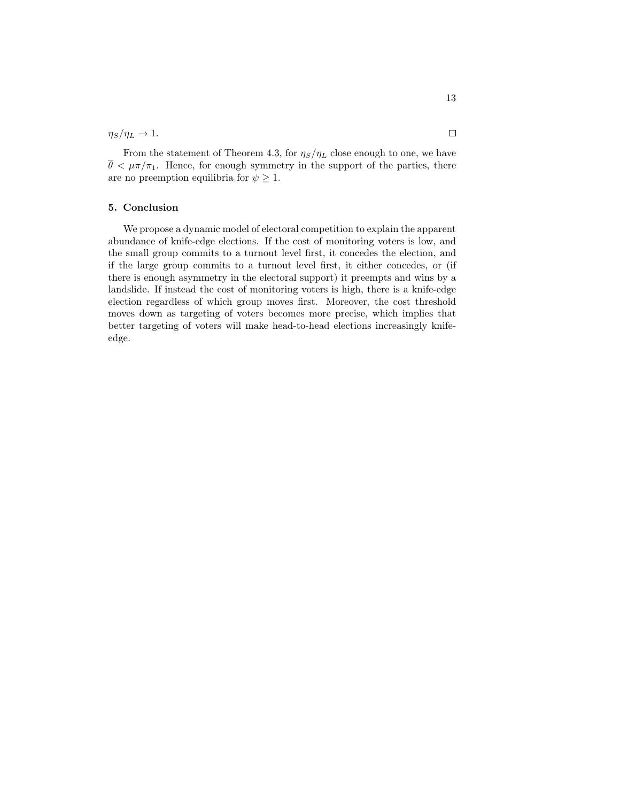$\eta_S/\eta_L \to 1.$ 

From the statement of Theorem 4.3, for  $\eta_S/\eta_L$  close enough to one, we have  $\bar{\theta} < \mu \pi / \pi_1$ . Hence, for enough symmetry in the support of the parties, there are no preemption equilibria for  $\psi \geq 1$ .

#### 5. Conclusion

We propose a dynamic model of electoral competition to explain the apparent abundance of knife-edge elections. If the cost of monitoring voters is low, and the small group commits to a turnout level first, it concedes the election, and if the large group commits to a turnout level first, it either concedes, or (if there is enough asymmetry in the electoral support) it preempts and wins by a landslide. If instead the cost of monitoring voters is high, there is a knife-edge election regardless of which group moves first. Moreover, the cost threshold moves down as targeting of voters becomes more precise, which implies that better targeting of voters will make head-to-head elections increasingly knifeedge.

 $\Box$